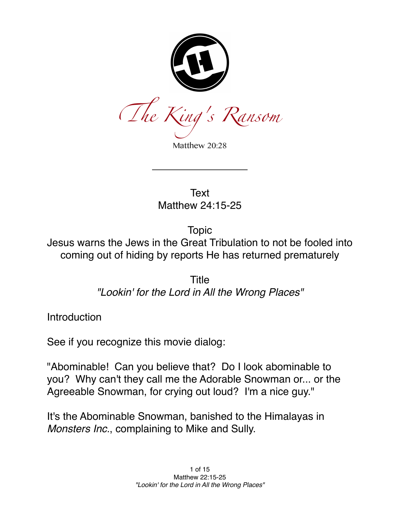

Matthew 20:28

**Text** Matthew 24:15-25

Topic

Jesus warns the Jews in the Great Tribulation to not be fooled into coming out of hiding by reports He has returned prematurely

> Title *"Lookin' for the Lord in All the Wrong Places"*

**Introduction** 

See if you recognize this movie dialog:

"Abominable! Can you believe that? Do I look abominable to you? Why can't they call me the Adorable Snowman or... or the Agreeable Snowman, for crying out loud? I'm a nice guy."

It's the Abominable Snowman, banished to the Himalayas in *Monsters Inc.*, complaining to Mike and Sully.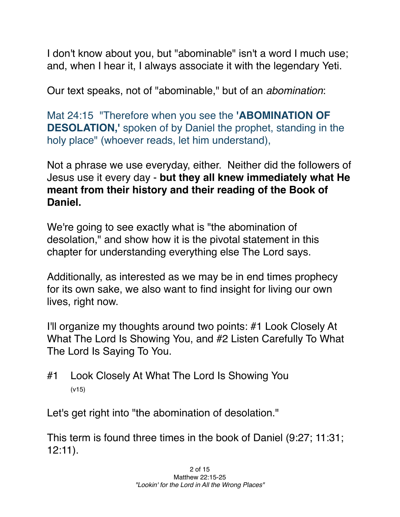I don't know about you, but "abominable" isn't a word I much use; and, when I hear it, I always associate it with the legendary Yeti.

Our text speaks, not of "abominable," but of an *abomination*:

Mat 24:15   "Therefore when you see the **'ABOMINATION OF DESOLATION,'** spoken of by Daniel the prophet, standing in the holy place" (whoever reads, let him understand),

Not a phrase we use everyday, either. Neither did the followers of Jesus use it every day - **but they all knew immediately what He meant from their history and their reading of the Book of Daniel.**

We're going to see exactly what is "the abomination of desolation," and show how it is the pivotal statement in this chapter for understanding everything else The Lord says.

Additionally, as interested as we may be in end times prophecy for its own sake, we also want to find insight for living our own lives, right now.

I'll organize my thoughts around two points: #1 Look Closely At What The Lord Is Showing You, and #2 Listen Carefully To What The Lord Is Saying To You.

#1 Look Closely At What The Lord Is Showing You (v15)

Let's get right into "the abomination of desolation."

This term is found three times in the book of Daniel (9:27; 11:31; 12:11).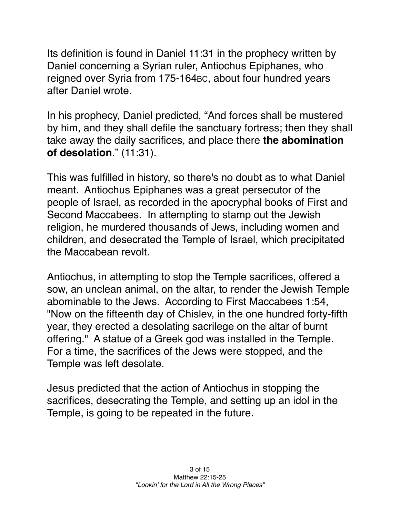Its definition is found in Daniel 11:31 in the prophecy written by Daniel concerning a Syrian ruler, Antiochus Epiphanes, who reigned over Syria from 175-164BC, about four hundred years after Daniel wrote.

In his prophecy, Daniel predicted, "And forces shall be mustered by him, and they shall defile the sanctuary fortress; then they shall take away the daily sacrifices, and place there **the abomination of desolation**." (11:31).

This was fulfilled in history, so there's no doubt as to what Daniel meant. Antiochus Epiphanes was a great persecutor of the people of Israel, as recorded in the apocryphal books of First and Second Maccabees. In attempting to stamp out the Jewish religion, he murdered thousands of Jews, including women and children, and desecrated the Temple of Israel, which precipitated the Maccabean revolt.

Antiochus, in attempting to stop the Temple sacrifices, offered a sow, an unclean animal, on the altar, to render the Jewish Temple abominable to the Jews. According to First Maccabees 1:54, "Now on the fifteenth day of Chislev, in the one hundred forty-fifth year, they erected a desolating sacrilege on the altar of burnt offering." A statue of a Greek god was installed in the Temple. For a time, the sacrifices of the Jews were stopped, and the Temple was left desolate.

Jesus predicted that the action of Antiochus in stopping the sacrifices, desecrating the Temple, and setting up an idol in the Temple, is going to be repeated in the future.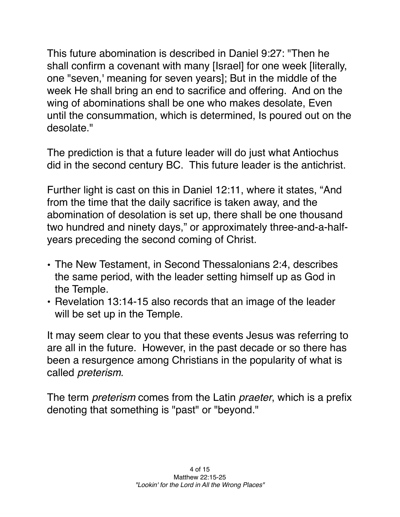This future abomination is described in Daniel 9:27: "Then he shall confirm a covenant with many [Israel] for one week [literally, one "seven,' meaning for seven years]; But in the middle of the week He shall bring an end to sacrifice and offering. And on the wing of abominations shall be one who makes desolate, Even until the consummation, which is determined, Is poured out on the desolate."

The prediction is that a future leader will do just what Antiochus did in the second century BC. This future leader is the antichrist.

Further light is cast on this in Daniel 12:11, where it states, "And from the time that the daily sacrifice is taken away, and the abomination of desolation is set up, there shall be one thousand two hundred and ninety days," or approximately three-and-a-halfyears preceding the second coming of Christ.

- The New Testament, in Second Thessalonians 2:4, describes the same period, with the leader setting himself up as God in the Temple.
- Revelation 13:14-15 also records that an image of the leader will be set up in the Temple.

It may seem clear to you that these events Jesus was referring to are all in the future. However, in the past decade or so there has been a resurgence among Christians in the popularity of what is called *preterism*.

The term *preterism* comes from the Latin *praeter*, which is a prefix denoting that something is "past" or "beyond."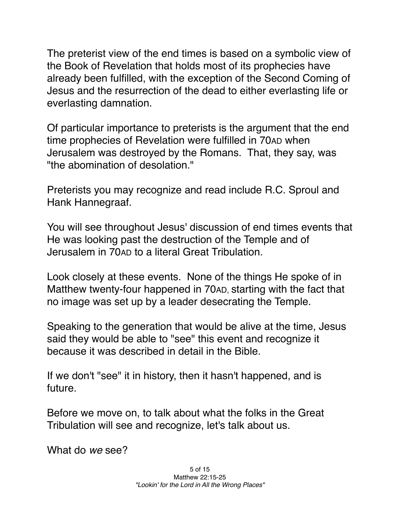The preterist view of the end times is based on a symbolic view of the Book of Revelation that holds most of its prophecies have already been fulfilled, with the exception of the Second Coming of Jesus and the resurrection of the dead to either everlasting life or everlasting damnation.

Of particular importance to preterists is the argument that the end time prophecies of Revelation were fulfilled in 70AD when Jerusalem was destroyed by the Romans. That, they say, was "the abomination of desolation."

Preterists you may recognize and read include R.C. Sproul and Hank Hannegraaf.

You will see throughout Jesus' discussion of end times events that He was looking past the destruction of the Temple and of Jerusalem in 70AD to a literal Great Tribulation.

Look closely at these events. None of the things He spoke of in Matthew twenty-four happened in 70AD, starting with the fact that no image was set up by a leader desecrating the Temple.

Speaking to the generation that would be alive at the time, Jesus said they would be able to "see" this event and recognize it because it was described in detail in the Bible.

If we don't "see" it in history, then it hasn't happened, and is future.

Before we move on, to talk about what the folks in the Great Tribulation will see and recognize, let's talk about us.

What do *we* see?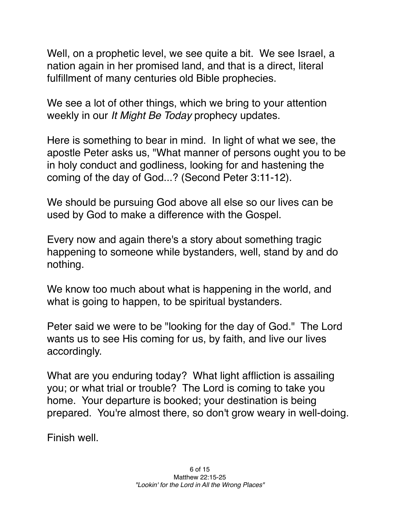Well, on a prophetic level, we see quite a bit. We see Israel, a nation again in her promised land, and that is a direct, literal fulfillment of many centuries old Bible prophecies.

We see a lot of other things, which we bring to your attention weekly in our *It Might Be Today* prophecy updates.

Here is something to bear in mind. In light of what we see, the apostle Peter asks us, "What manner of persons ought you to be in holy conduct and godliness, looking for and hastening the coming of the day of God...? (Second Peter 3:11-12).

We should be pursuing God above all else so our lives can be used by God to make a difference with the Gospel.

Every now and again there's a story about something tragic happening to someone while bystanders, well, stand by and do nothing.

We know too much about what is happening in the world, and what is going to happen, to be spiritual bystanders.

Peter said we were to be "looking for the day of God." The Lord wants us to see His coming for us, by faith, and live our lives accordingly.

What are you enduring today? What light affliction is assailing you; or what trial or trouble? The Lord is coming to take you home. Your departure is booked; your destination is being prepared. You're almost there, so don't grow weary in well-doing.

Finish well.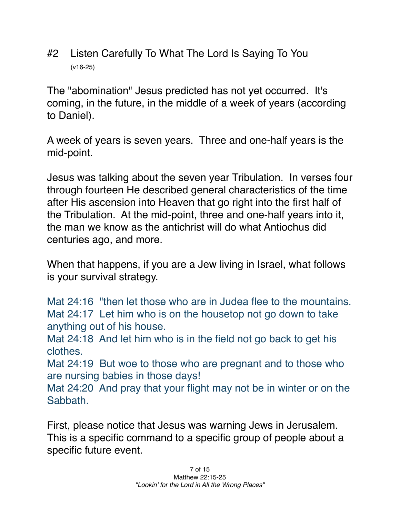#2 Listen Carefully To What The Lord Is Saying To You (v16-25)

The "abomination" Jesus predicted has not yet occurred. It's coming, in the future, in the middle of a week of years (according to Daniel).

A week of years is seven years. Three and one-half years is the mid-point.

Jesus was talking about the seven year Tribulation. In verses four through fourteen He described general characteristics of the time after His ascension into Heaven that go right into the first half of the Tribulation. At the mid-point, three and one-half years into it, the man we know as the antichrist will do what Antiochus did centuries ago, and more.

When that happens, if you are a Jew living in Israel, what follows is your survival strategy.

Mat 24:16 "then let those who are in Judea flee to the mountains. Mat 24:17 Let him who is on the housetop not go down to take anything out of his house.

Mat 24:18 And let him who is in the field not go back to get his clothes.

Mat 24:19 But woe to those who are pregnant and to those who are nursing babies in those days!

Mat 24:20 And pray that your flight may not be in winter or on the Sabbath.

First, please notice that Jesus was warning Jews in Jerusalem. This is a specific command to a specific group of people about a specific future event.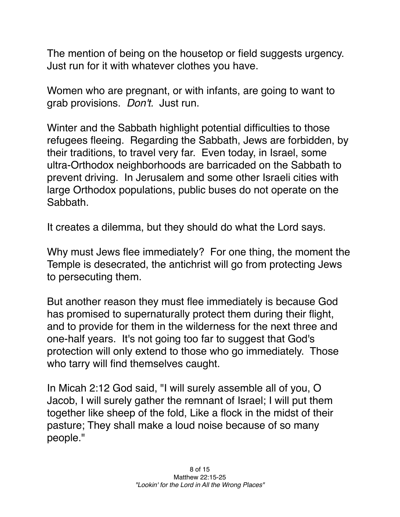The mention of being on the housetop or field suggests urgency. Just run for it with whatever clothes you have.

Women who are pregnant, or with infants, are going to want to grab provisions. *Don't.* Just run.

Winter and the Sabbath highlight potential difficulties to those refugees fleeing. Regarding the Sabbath, Jews are forbidden, by their traditions, to travel very far. Even today, in Israel, some ultra-Orthodox neighborhoods are barricaded on the Sabbath to prevent driving. In Jerusalem and some other Israeli cities with large Orthodox populations, public buses do not operate on the Sabbath.

It creates a dilemma, but they should do what the Lord says.

Why must Jews flee immediately? For one thing, the moment the Temple is desecrated, the antichrist will go from protecting Jews to persecuting them.

But another reason they must flee immediately is because God has promised to supernaturally protect them during their flight, and to provide for them in the wilderness for the next three and one-half years. It's not going too far to suggest that God's protection will only extend to those who go immediately. Those who tarry will find themselves caught.

In Micah 2:12 God said, "I will surely assemble all of you, O Jacob, I will surely gather the remnant of Israel; I will put them together like sheep of the fold, Like a flock in the midst of their pasture; They shall make a loud noise because of so many people."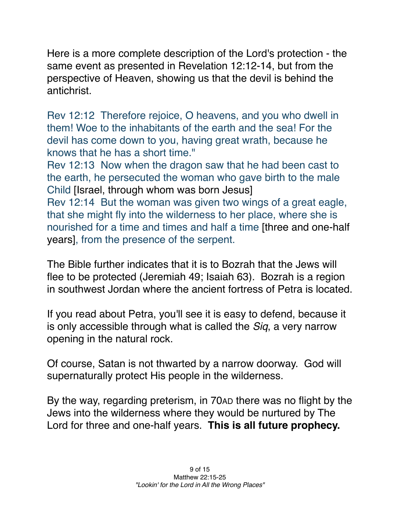Here is a more complete description of the Lord's protection - the same event as presented in Revelation 12:12-14, but from the perspective of Heaven, showing us that the devil is behind the antichrist.

Rev 12:12   Therefore rejoice, O heavens, and you who dwell in them! Woe to the inhabitants of the earth and the sea! For the devil has come down to you, having great wrath, because he knows that he has a short time."

Rev 12:13   Now when the dragon saw that he had been cast to the earth, he persecuted the woman who gave birth to the male Child [Israel, through whom was born Jesus]

Rev 12:14   But the woman was given two wings of a great eagle, that she might fly into the wilderness to her place, where she is nourished for a time and times and half a time [three and one-half years], from the presence of the serpent.

The Bible further indicates that it is to Bozrah that the Jews will flee to be protected (Jeremiah 49; Isaiah 63). Bozrah is a region in southwest Jordan where the ancient fortress of Petra is located.

If you read about Petra, you'll see it is easy to defend, because it is only accessible through what is called the *Siq*, a very narrow opening in the natural rock.

Of course, Satan is not thwarted by a narrow doorway. God will supernaturally protect His people in the wilderness.

By the way, regarding preterism, in 70AD there was no flight by the Jews into the wilderness where they would be nurtured by The Lord for three and one-half years. **This is all future prophecy.**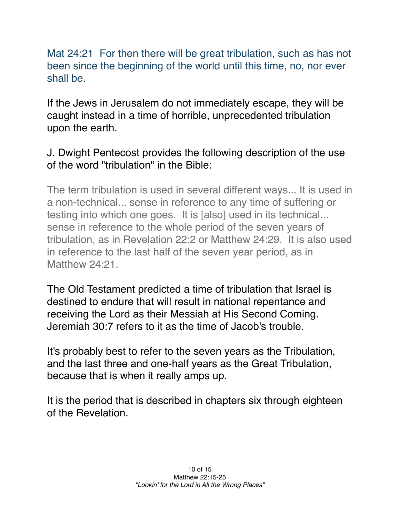Mat 24:21 For then there will be great tribulation, such as has not been since the beginning of the world until this time, no, nor ever shall be.

If the Jews in Jerusalem do not immediately escape, they will be caught instead in a time of horrible, unprecedented tribulation upon the earth.

## J. Dwight Pentecost provides the following description of the use of the word "tribulation" in the Bible:

The term tribulation is used in several different ways... It is used in a non-technical... sense in reference to any time of suffering or testing into which one goes. It is [also] used in its technical... sense in reference to the whole period of the seven years of tribulation, as in Revelation 22:2 or Matthew 24:29. It is also used in reference to the last half of the seven year period, as in Matthew 24:21.

The Old Testament predicted a time of tribulation that Israel is destined to endure that will result in national repentance and receiving the Lord as their Messiah at His Second Coming. Jeremiah 30:7 refers to it as the time of Jacob's trouble.

It's probably best to refer to the seven years as the Tribulation, and the last three and one-half years as the Great Tribulation, because that is when it really amps up.

It is the period that is described in chapters six through eighteen of the Revelation.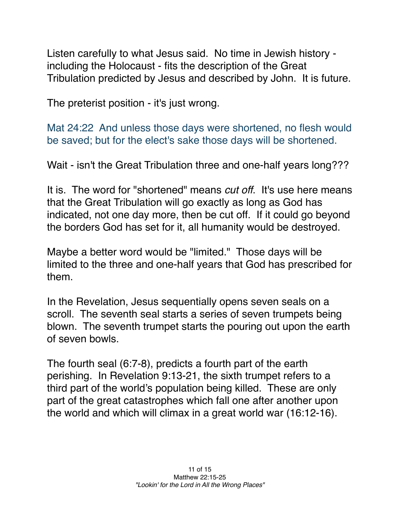Listen carefully to what Jesus said. No time in Jewish history including the Holocaust - fits the description of the Great Tribulation predicted by Jesus and described by John. It is future.

The preterist position - it's just wrong.

Mat 24:22   And unless those days were shortened, no flesh would be saved; but for the elect's sake those days will be shortened.

Wait - isn't the Great Tribulation three and one-half years long???

It is. The word for "shortened" means *cut off*. It's use here means that the Great Tribulation will go exactly as long as God has indicated, not one day more, then be cut off. If it could go beyond the borders God has set for it, all humanity would be destroyed.

Maybe a better word would be "limited." Those days will be limited to the three and one-half years that God has prescribed for them.

In the Revelation, Jesus sequentially opens seven seals on a scroll. The seventh seal starts a series of seven trumpets being blown. The seventh trumpet starts the pouring out upon the earth of seven bowls.

The fourth seal (6:7-8), predicts a fourth part of the earth perishing. In Revelation 9:13-21, the sixth trumpet refers to a third part of the world's population being killed. These are only part of the great catastrophes which fall one after another upon the world and which will climax in a great world war (16:12-16).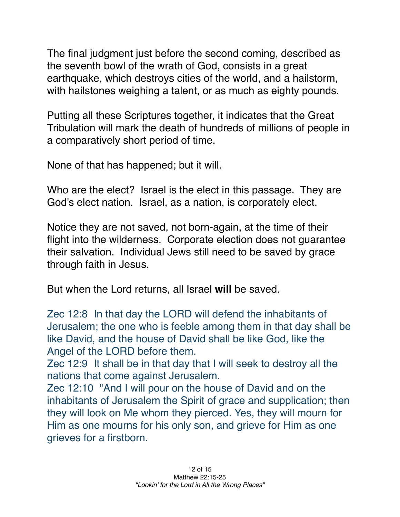The final judgment just before the second coming, described as the seventh bowl of the wrath of God, consists in a great earthquake, which destroys cities of the world, and a hailstorm, with hailstones weighing a talent, or as much as eighty pounds.

Putting all these Scriptures together, it indicates that the Great Tribulation will mark the death of hundreds of millions of people in a comparatively short period of time.

None of that has happened; but it will.

Who are the elect? Israel is the elect in this passage. They are God's elect nation. Israel, as a nation, is corporately elect.

Notice they are not saved, not born-again, at the time of their flight into the wilderness. Corporate election does not guarantee their salvation. Individual Jews still need to be saved by grace through faith in Jesus.

But when the Lord returns, all Israel **will** be saved.

Zec 12:8   In that day the LORD will defend the inhabitants of Jerusalem; the one who is feeble among them in that day shall be like David, and the house of David shall be like God, like the Angel of the LORD before them.

Zec 12:9   It shall be in that day that I will seek to destroy all the nations that come against Jerusalem.

Zec 12:10 "And I will pour on the house of David and on the inhabitants of Jerusalem the Spirit of grace and supplication; then they will look on Me whom they pierced. Yes, they will mourn for Him as one mourns for his only son, and grieve for Him as one grieves for a firstborn.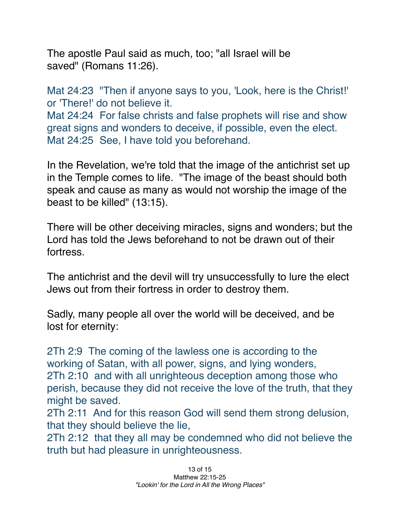The apostle Paul said as much, too; "all Israel will be saved" (Romans 11:26).

Mat 24:23 *"Then if anyone says to you, 'Look, here is the Christ!'* or 'There!' do not believe it.

Mat 24:24 For false christs and false prophets will rise and show great signs and wonders to deceive, if possible, even the elect. Mat 24:25   See, I have told you beforehand.

In the Revelation, we're told that the image of the antichrist set up in the Temple comes to life. "The image of the beast should both speak and cause as many as would not worship the image of the beast to be killed" (13:15).

There will be other deceiving miracles, signs and wonders; but the Lord has told the Jews beforehand to not be drawn out of their fortress.

The antichrist and the devil will try unsuccessfully to lure the elect Jews out from their fortress in order to destroy them.

Sadly, many people all over the world will be deceived, and be lost for eternity:

2Th 2:9   The coming of the lawless one is according to the working of Satan, with all power, signs, and lying wonders, 2Th 2:10   and with all unrighteous deception among those who perish, because they did not receive the love of the truth, that they might be saved.

2Th 2:11   And for this reason God will send them strong delusion, that they should believe the lie,

2Th 2:12   that they all may be condemned who did not believe the truth but had pleasure in unrighteousness.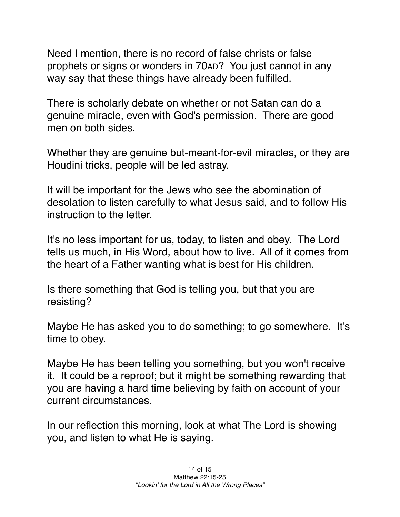Need I mention, there is no record of false christs or false prophets or signs or wonders in 70AD? You just cannot in any way say that these things have already been fulfilled.

There is scholarly debate on whether or not Satan can do a genuine miracle, even with God's permission. There are good men on both sides.

Whether they are genuine but-meant-for-evil miracles, or they are Houdini tricks, people will be led astray.

It will be important for the Jews who see the abomination of desolation to listen carefully to what Jesus said, and to follow His instruction to the letter.

It's no less important for us, today, to listen and obey. The Lord tells us much, in His Word, about how to live. All of it comes from the heart of a Father wanting what is best for His children.

Is there something that God is telling you, but that you are resisting?

Maybe He has asked you to do something; to go somewhere. It's time to obey.

Maybe He has been telling you something, but you won't receive it. It could be a reproof; but it might be something rewarding that you are having a hard time believing by faith on account of your current circumstances.

In our reflection this morning, look at what The Lord is showing you, and listen to what He is saying.